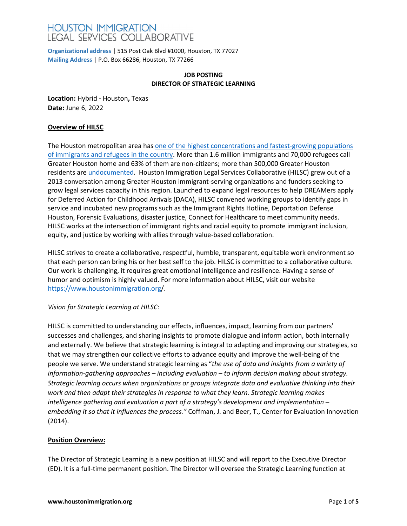# **HOUSTON IMMIGRATION** LEGAL SERVICES COLLABORATIVE

**Organizational address |** 515 Post Oak Blvd #1000, Houston, TX 77027 **Mailing Address** | P.O. Box 66286, Houston, TX 77266

## **JOB POSTING DIRECTOR OF STRATEGIC LEARNING**

**Location:** Hybrid **-** Houston**,** Texas **Date:** June 6, 2022

## **Overview of HILSC**

The Houston metropolitan area has [one of the highest concentrations and fastest-growing populations](http://www.migrationpolicy.org/research/profile-immigrants-houston-nations-most-diverse-metropolitan-area) [of immigrants and refugees in the country. M](http://www.migrationpolicy.org/research/profile-immigrants-houston-nations-most-diverse-metropolitan-area)ore than 1.6 million immigrants and 70,000 refugees call Greater Houston home and 63% of them are non-citizens; more than 500,000 Greater Houston residents ar[e undocumented.](http://www.pewresearch.org/fact-tank/2017/02/09/us-metro-areas-unauthorized-immigrants/) Houston Immigration Legal Services Collaborative (HILSC) grew out of a 2013 conversation among Greater Houston immigrant-serving organizations and funders seeking to grow legal services capacity in this region. Launched to expand legal resources to help DREAMers apply for Deferred Action for Childhood Arrivals (DACA), HILSC convened working groups to identify gaps in service and incubated new programs such as the Immigrant Rights Hotline, Deportation Defense Houston, Forensic Evaluations, disaster justice, Connect for Healthcare to meet community needs. HILSC works at the intersection of immigrant rights and racial equity to promote immigrant inclusion, equity, and justice by working with allies through value-based collaboration.

HILSC strives to create a collaborative, respectful, humble, transparent, equitable work environment so that each person can bring his or her best self to the job. HILSC is committed to a collaborative culture. Our work is challenging, it requires great emotional intelligence and resilience. Having a sense of humor and optimism is highly valued. For more information about HILSC, visit our website <https://www.houstonimmigration.org/>.

# *Vision for Strategic Learning at HILSC:*

HILSC is committed to understanding our effects, influences, impact, learning from our partners' successes and challenges, and sharing insights to promote dialogue and inform action, both internally and externally. We believe that strategic learning is integral to adapting and improving our strategies, so that we may strengthen our collective efforts to advance equity and improve the well-being of the people we serve. We understand strategic learning as "*the use of data and insights from a variety of information-gathering approaches – including evaluation – to inform decision making about strategy. Strategic learning occurs when organizations or groups integrate data and evaluative thinking into their work and then adapt their strategies in response to what they learn. Strategic learning makes intelligence gathering and evaluation a part of a strategy's development and implementation – embedding it so that it influences the process."* Coffman, J. and Beer, T., Center for Evaluation Innovation (2014).

#### **Position Overview:**

The Director of Strategic Learning is a new position at HILSC and will report to the Executive Director (ED). It is a full-time permanent position. The Director will oversee the Strategic Learning function at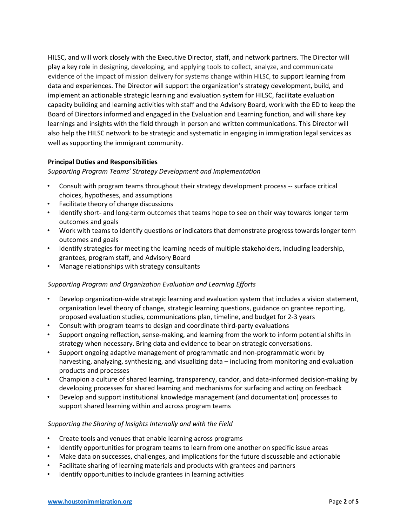HILSC, and will work closely with the Executive Director, staff, and network partners. The Director will play a key role in designing, developing, and applying tools to collect, analyze, and communicate evidence of the impact of mission delivery for systems change within HILSC, to support learning from data and experiences. The Director will support the organization's strategy development, build, and implement an actionable strategic learning and evaluation system for HILSC, facilitate evaluation capacity building and learning activities with staff and the Advisory Board, work with the ED to keep the Board of Directors informed and engaged in the Evaluation and Learning function, and will share key learnings and insights with the field through in person and written communications. This Director will also help the HILSC network to be strategic and systematic in engaging in immigration legal services as well as supporting the immigrant community.

#### **Principal Duties and Responsibilities**

#### *Supporting Program Teams' Strategy Development and Implementation*

- Consult with program teams throughout their strategy development process -- surface critical choices, hypotheses, and assumptions
- Facilitate theory of change discussions
- Identify short- and long-term outcomes that teams hope to see on their way towards longer term outcomes and goals
- Work with teams to identify questions or indicators that demonstrate progress towards longer term outcomes and goals
- Identify strategies for meeting the learning needs of multiple stakeholders, including leadership, grantees, program staff, and Advisory Board
- Manage relationships with strategy consultants

#### *Supporting Program and Organization Evaluation and Learning Efforts*

- Develop organization-wide strategic learning and evaluation system that includes a vision statement, organization level theory of change, strategic learning questions, guidance on grantee reporting, proposed evaluation studies, communications plan, timeline, and budget for 2-3 years
- Consult with program teams to design and coordinate third-party evaluations
- Support ongoing reflection, sense-making, and learning from the work to inform potential shifts in strategy when necessary. Bring data and evidence to bear on strategic conversations.
- Support ongoing adaptive management of programmatic and non-programmatic work by harvesting, analyzing, synthesizing, and visualizing data – including from monitoring and evaluation products and processes
- Champion a culture of shared learning, transparency, candor, and data-informed decision-making by developing processes for shared learning and mechanisms for surfacing and acting on feedback
- Develop and support institutional knowledge management (and documentation) processes to support shared learning within and across program teams

#### *Supporting the Sharing of Insights Internally and with the Field*

- Create tools and venues that enable learning across programs
- Identify opportunities for program teams to learn from one another on specific issue areas
- Make data on successes, challenges, and implications for the future discussable and actionable
- Facilitate sharing of learning materials and products with grantees and partners
- Identify opportunities to include grantees in learning activities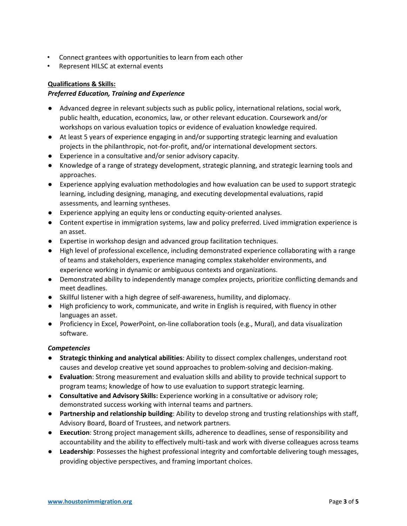- Connect grantees with opportunities to learn from each other
- Represent HILSC at external events

## **Qualifications & Skills:**

## *Preferred Education, Training and Experience*

- Advanced degree in relevant subjects such as public policy, international relations, social work, public health, education, economics, law, or other relevant education. Coursework and/or workshops on various evaluation topics or evidence of evaluation knowledge required.
- At least 5 years of experience engaging in and/or supporting strategic learning and evaluation projects in the philanthropic, not-for-profit, and/or international development sectors.
- Experience in a consultative and/or senior advisory capacity.
- Knowledge of a range of strategy development, strategic planning, and strategic learning tools and approaches.
- Experience applying evaluation methodologies and how evaluation can be used to support strategic learning, including designing, managing, and executing developmental evaluations, rapid assessments, and learning syntheses.
- Experience applying an equity lens or conducting equity-oriented analyses.
- Content expertise in immigration systems, law and policy preferred. Lived immigration experience is an asset.
- Expertise in workshop design and advanced group facilitation techniques.
- High level of professional excellence, including demonstrated experience collaborating with a range of teams and stakeholders, experience managing complex stakeholder environments, and experience working in dynamic or ambiguous contexts and organizations.
- Demonstrated ability to independently manage complex projects, prioritize conflicting demands and meet deadlines.
- Skillful listener with a high degree of self-awareness, humility, and diplomacy.
- High proficiency to work, communicate, and write in English is required, with fluency in other languages an asset.
- Proficiency in Excel, PowerPoint, on-line collaboration tools (e.g., Mural), and data visualization software.

#### *Competencies*

- **Strategic thinking and analytical abilities**: Ability to dissect complex challenges, understand root causes and develop creative yet sound approaches to problem-solving and decision-making.
- **Evaluation**: Strong measurement and evaluation skills and ability to provide technical support to program teams; knowledge of how to use evaluation to support strategic learning.
- **Consultative and Advisory Skills:** Experience working in a consultative or advisory role; demonstrated success working with internal teams and partners.
- **Partnership and relationship building**: Ability to develop strong and trusting relationships with staff, Advisory Board, Board of Trustees, and network partners.
- **Execution**: Strong project management skills, adherence to deadlines, sense of responsibility and accountability and the ability to effectively multi-task and work with diverse colleagues across teams
- **Leadership**: Possesses the highest professional integrity and comfortable delivering tough messages, providing objective perspectives, and framing important choices.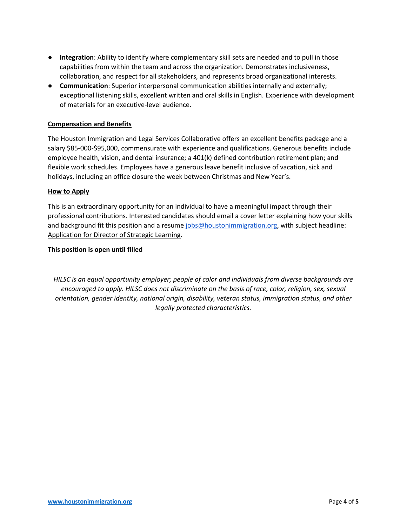- **Integration**: Ability to identify where complementary skill sets are needed and to pull in those capabilities from within the team and across the organization. Demonstrates inclusiveness, collaboration, and respect for all stakeholders, and represents broad organizational interests.
- **Communication**: Superior interpersonal communication abilities internally and externally; exceptional listening skills, excellent written and oral skills in English. Experience with development of materials for an executive-level audience.

#### **Compensation and Benefits**

The Houston Immigration and Legal Services Collaborative offers an excellent benefits package and a salary \$85-000-\$95,000, commensurate with experience and qualifications. Generous benefits include employee health, vision, and dental insurance; a 401(k) defined contribution retirement plan; and flexible work schedules. Employees have a generous leave benefit inclusive of vacation, sick and holidays, including an office closure the week between Christmas and New Year's.

#### **How to Apply**

This is an extraordinary opportunity for an individual to have a meaningful impact through their professional contributions. Interested candidates should email a cover letter explaining how your skills and background fit this position and a resume [jobs@houstonimmigration.org,](mailto:jobs@houstonimmigration.org) with subject headline: Application for Director of Strategic Learning.

#### **This position is open until filled**

*HILSC is an equal opportunity employer; people of color and individuals from diverse backgrounds are encouraged to apply. HILSC does not discriminate on the basis of race, color, religion, sex, sexual orientation, gender identity, national origin, disability, veteran status, immigration status, and other legally protected characteristics.*